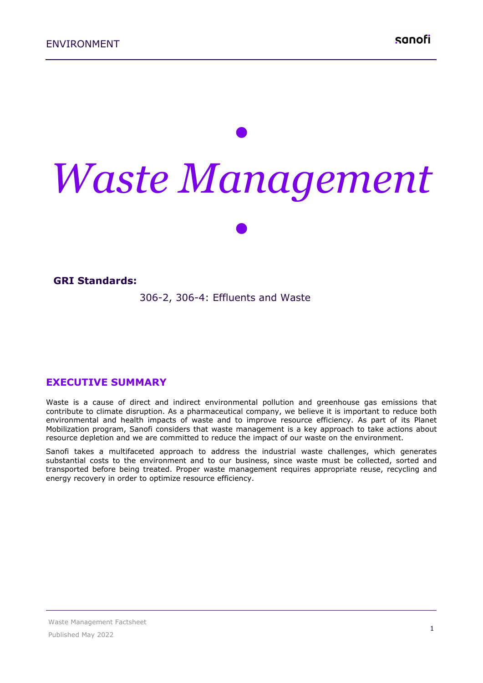# *• Waste Management*

*•*

#### **GRI Standards:**

306-2, 306-4: Effluents and Waste

### **EXECUTIVE SUMMARY**

Waste is a cause of direct and indirect environmental pollution and greenhouse gas emissions that contribute to climate disruption. As a pharmaceutical company, we believe it is important to reduce both environmental and health impacts of waste and to improve resource efficiency. As part of its Planet Mobilization program, Sanofi considers that waste management is a key approach to take actions about resource depletion and we are committed to reduce the impact of our waste on the environment.

Sanofi takes a multifaceted approach to address the industrial waste challenges, which generates substantial costs to the environment and to our business, since waste must be collected, sorted and transported before being treated. Proper waste management requires appropriate reuse, recycling and energy recovery in order to optimize resource efficiency.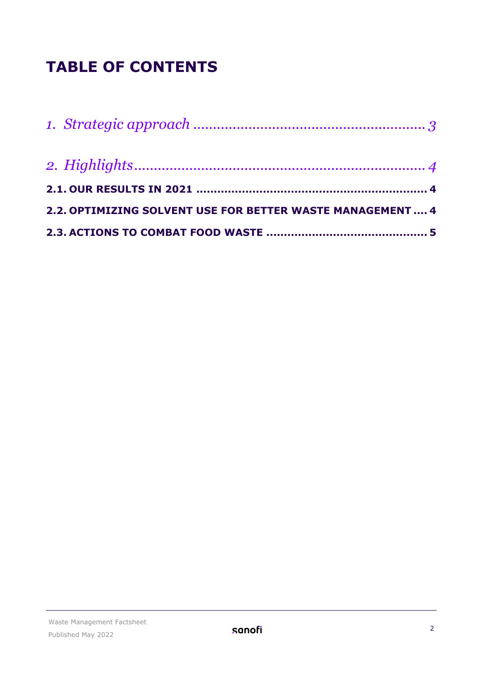# **TABLE OF CONTENTS**

| 2.2. OPTIMIZING SOLVENT USE FOR BETTER WASTE MANAGEMENT  4 |
|------------------------------------------------------------|
|                                                            |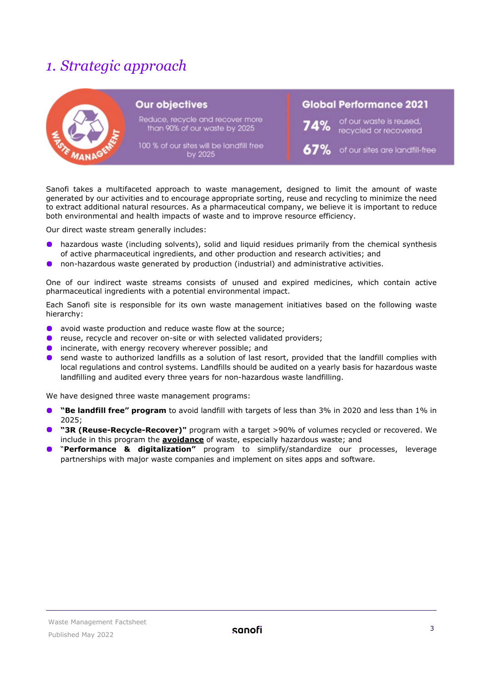# <span id="page-2-0"></span>*1. Strategic approach*

| <b>Our objectives</b>                                             | <b>Global Performance 2021</b>                          |  |  |
|-------------------------------------------------------------------|---------------------------------------------------------|--|--|
| Reduce, recycle and recover more<br>than 90% of our waste by 2025 | of our waste is reused,<br>recycled or recovered<br>74% |  |  |
| 100 % of our sites will be landfill free<br>by 2025               | $67\%$ of our sites are landfill-free                   |  |  |

Sanofi takes a multifaceted approach to waste management, designed to limit the amount of waste generated by our activities and to encourage appropriate sorting, reuse and recycling to minimize the need to extract additional natural resources. As a pharmaceutical company, we believe it is important to reduce both environmental and health impacts of waste and to improve resource efficiency.

Our direct waste stream generally includes:

- hazardous waste (including solvents), solid and liquid residues primarily from the chemical synthesis  $\bullet$ of active pharmaceutical ingredients, and other production and research activities; and
- non-hazardous waste generated by production (industrial) and administrative activities.

One of our indirect waste streams consists of unused and expired medicines, which contain active pharmaceutical ingredients with a potential environmental impact.

Each Sanofi site is responsible for its own waste management initiatives based on the following waste hierarchy:

- avoid waste production and reduce waste flow at the source;
- **•** reuse, recycle and recover on-site or with selected validated providers;
- **O** incinerate, with energy recovery wherever possible; and
- **O** send waste to authorized landfills as a solution of last resort, provided that the landfill complies with local regulations and control systems. Landfills should be audited on a yearly basis for hazardous waste landfilling and audited every three years for non-hazardous waste landfilling.

We have designed three waste management programs:

- **"Be landfill free" program** to avoid landfill with targets of less than 3% in 2020 and less than 1% in 2025;
- **The "3R (Reuse-Recycle-Recover)"** program with a target >90% of volumes recycled or recovered. We include in this program the **avoidance** of waste, especially hazardous waste; and
- "**Performance & digitalization"** program to simplify/standardize our processes, leverage partnerships with major waste companies and implement on sites apps and software.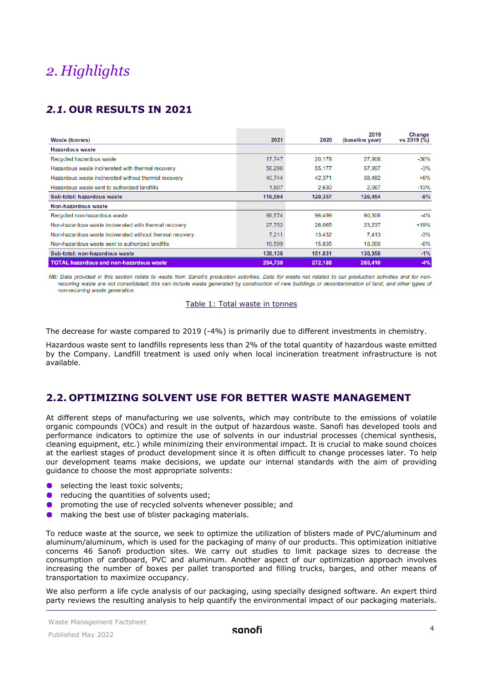# <span id="page-3-0"></span>*2. Highlights*

## <span id="page-3-1"></span>*2.1.* **OUR RESULTS IN 2021**

| <b>Waste (tonnes)</b>                                    | 2021    | 2020    | 2019<br>(baseline year) | Change<br>vs 2019 (%) |
|----------------------------------------------------------|---------|---------|-------------------------|-----------------------|
| <b>Hazardous waste</b>                                   |         |         |                         |                       |
| Recycled hazardous waste                                 | 17,747  | 20,179  | 27,908                  | $-36%$                |
| Hazardous waste incinerated with thermal recovery        | 56,296  | 55,177  | 57,997                  | $-3%$                 |
| Hazardous waste incinerated without thermal recovery     | 40.744  | 42.371  | 38,482                  | $+6%$                 |
| Hazardous waste sent to authorized landfills             | 1,807   | 2.630   | 2.067                   | $-13%$                |
| Sub-total: hazardous waste                               | 116,594 | 120.357 | 126.454                 | $-8%$                 |
| Non-hazardous waste                                      |         |         |                         |                       |
| Recycled non-hazardous waste                             | 86,574  | 96,499  | 90,306                  | $-4%$                 |
| Non-hazardous waste incinerated with thermal recovery    | 27,752  | 26,065  | 23.237                  | $+19%$                |
| Non-hazardous waste incinerated without thermal recovery | 7.211   | 13,432  | 7,413                   | $-3%$                 |
| Non-hazardous waste sent to authorized landfills         | 16,599  | 15,835  | 18,000                  | $-8%$                 |
| Sub-total: non-hazardous waste                           | 138,136 | 151,831 | 138,956                 | $-1%$                 |
| <b>TOTAL hazardous and non-hazardous waste</b>           | 254,730 | 272,188 | 265,410                 | $-4%$                 |

NB: Data provided in this section relate to waste from Sanofi's production activities. Data for waste not related to our production activities and for nonrecurring waste are not consolidated: this can include waste generated by construction of new buildings or decontamination of land, and other types of non-recurring waste generation.

#### Table 1: Total waste in tonnes

The decrease for waste compared to 2019 (-4%) is primarily due to different investments in chemistry.

Hazardous waste sent to landfills represents less than 2% of the total quantity of hazardous waste emitted by the Company. Landfill treatment is used only when local incineration treatment infrastructure is not available.

### <span id="page-3-2"></span>**2.2. OPTIMIZING SOLVENT USE FOR BETTER WASTE MANAGEMENT**

At different steps of manufacturing we use solvents, which may contribute to the emissions of volatile organic compounds (VOCs) and result in the output of hazardous waste. Sanofi has developed tools and performance indicators to optimize the use of solvents in our industrial processes (chemical synthesis, cleaning equipment, etc.) while minimizing their environmental impact. It is crucial to make sound choices at the earliest stages of product development since it is often difficult to change processes later. To help our development teams make decisions, we update our internal standards with the aim of providing guidance to choose the most appropriate solvents:

- selecting the least toxic solvents;
- $\bullet$ reducing the quantities of solvents used;
- $\bullet$ promoting the use of recycled solvents whenever possible; and
- making the best use of blister packaging materials.  $\bullet$

To reduce waste at the source, we seek to optimize the utilization of blisters made of PVC/aluminum and aluminum/aluminum, which is used for the packaging of many of our products. This optimization initiative concerns 46 Sanofi production sites. We carry out studies to limit package sizes to decrease the consumption of cardboard, PVC and aluminum. Another aspect of our optimization approach involves increasing the number of boxes per pallet transported and filling trucks, barges, and other means of transportation to maximize occupancy.

We also perform a life cycle analysis of our packaging, using specially designed software. An expert third party reviews the resulting analysis to help quantify the environmental impact of our packaging materials.